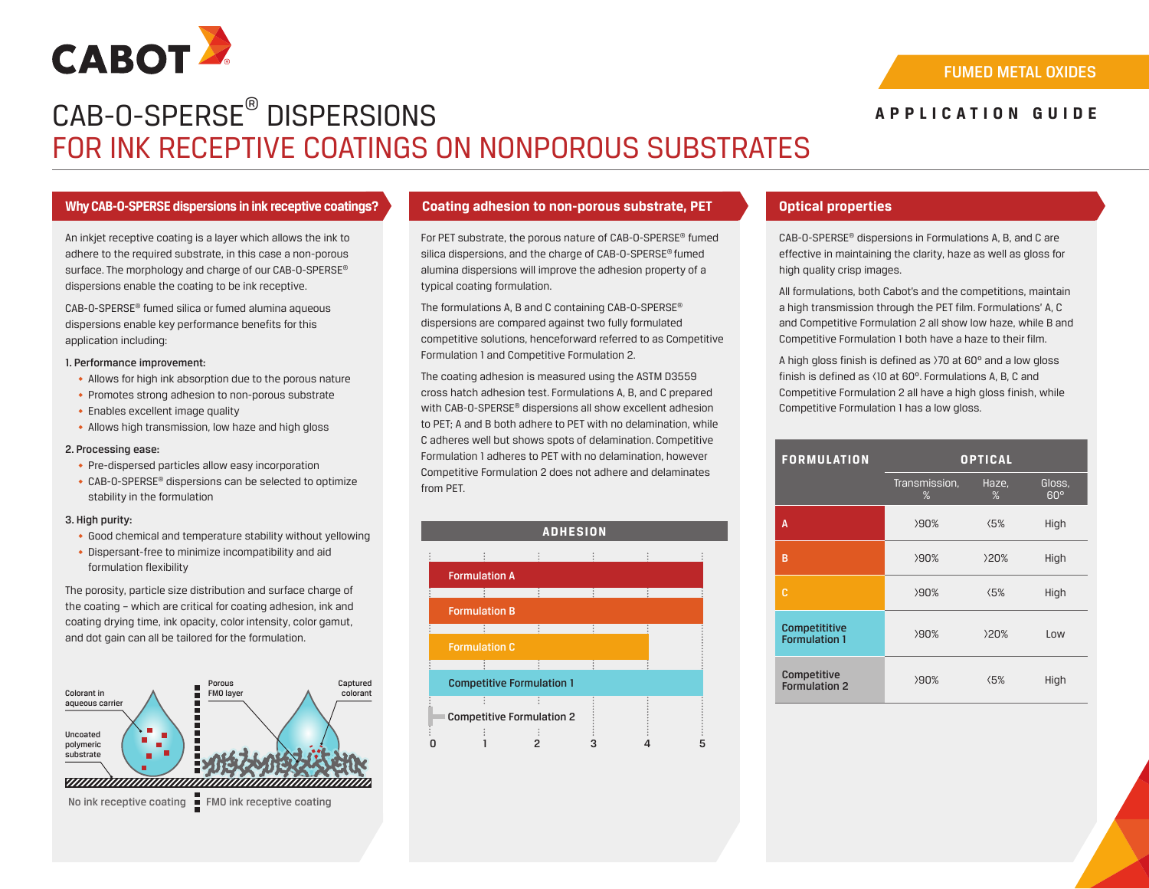

# CAB-O-SPERSE® DISPERSIONS FOR INK RECEPTIVE COATINGS ON NONPOROUS SUBSTRATES

# **APPLICATION GUIDE**

# **Why CAB-O-SPERSE dispersions in ink receptive coatings? Coating adhesion to non-porous substrate, PET Optical properties**

An inkjet receptive coating is a layer which allows the ink to adhere to the required substrate, in this case a non-porous surface. The morphology and charge of our CAB-0-SPERSE® dispersions enable the coating to be ink receptive.

CAB-O-SPERSE® fumed silica or fumed alumina aqueous dispersions enable key performance benefits for this application including:

### 1. Performance improvement:

- ◆ Allows for high ink absorption due to the porous nature
- ◆ Promotes strong adhesion to non-porous substrate
- ◆ Enables excellent image quality
- ◆ Allows high transmission, low haze and high gloss

# 2. Processing ease:

- ◆ Pre-dispersed particles allow easy incorporation
- ◆ CAB-O-SPERSE® dispersions can be selected to optimize stability in the formulation

# 3. High purity:

- ◆ Good chemical and temperature stability without yellowing
- ◆ Dispersant-free to minimize incompatibility and aid formulation flexibility

The porosity, particle size distribution and surface charge of the coating – which are critical for coating adhesion, ink and coating drying time, ink opacity, color intensity, color gamut, and dot gain can all be tailored for the formulation.



No ink receptive coating FMO ink receptive coating

For PET substrate, the porous nature of CAB-O-SPERSE® fumed silica dispersions, and the charge of CAB-O-SPERSE® fumed alumina dispersions will improve the adhesion property of a typical coating formulation.

The formulations A, B and C containing CAB-O-SPERSE® dispersions are compared against two fully formulated competitive solutions, henceforward referred to as Competitive Formulation 1 and Competitive Formulation 2.

The coating adhesion is measured using the ASTM D3559 cross hatch adhesion test. Formulations A, B, and C prepared with CAB-O-SPERSE® dispersions all show excellent adhesion to PET; A and B both adhere to PET with no delamination, while C adheres well but shows spots of delamination. Competitive Formulation 1 adheres to PET with no delamination, however Competitive Formulation 2 does not adhere and delaminates from PET.



CAB-O-SPERSE® dispersions in Formulations A, B, and C are effective in maintaining the clarity, haze as well as gloss for high quality crisp images.

All formulations, both Cabot's and the competitions, maintain a high transmission through the PET film. Formulations' A, C and Competitive Formulation 2 all show low haze, while B and Competitive Formulation 1 both have a haze to their film.

A high gloss finish is defined as >70 at 60° and a low gloss finish is defined as <10 at 60°. Formulations A, B, C and Competitive Formulation 2 all have a high gloss finish, while Competitive Formulation 1 has a low gloss.

| <b>FORMULATION</b>                    | <b>OPTICAL</b>     |               |                      |
|---------------------------------------|--------------------|---------------|----------------------|
|                                       | Transmission,<br>% | Haze,<br>%    | Gloss,<br>$60^\circ$ |
| A                                     | >90%               | $\langle 5\%$ | High                 |
| B                                     | >90%               | >20%          | High                 |
| C                                     | >90%               | $\langle 5\%$ | High                 |
| Competititive<br><b>Formulation 1</b> | 290%               | >20%          | Low                  |
| Competitive<br>Formulation 2          | 290%               | $\langle 5\%$ | High                 |